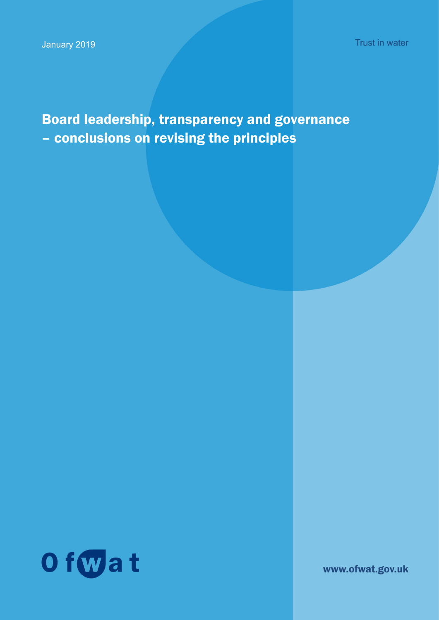Trust in water

Board leadership, transparency and governance – conclusions on revising the principles

Of wat

www.ofwat.gov.uk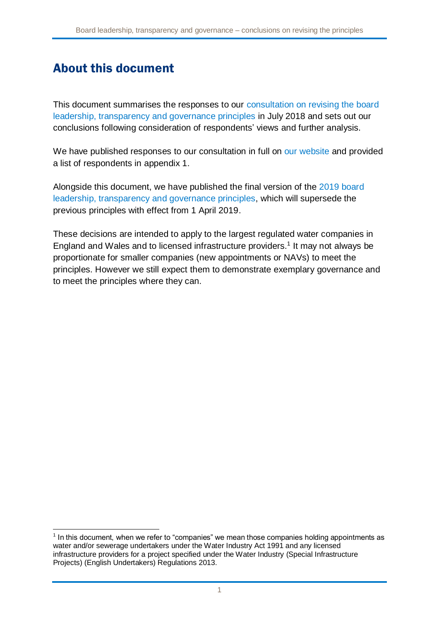## About this document

This document summarises the responses to our [consultation on revising the board](https://www.ofwat.gov.uk/wp-content/uploads/2018/07/Consultation-on-revised-Board-Leadership-Transparency-and-Governance-principles.pdf)  [leadership, transparency and governance principles](https://www.ofwat.gov.uk/wp-content/uploads/2018/07/Consultation-on-revised-Board-Leadership-Transparency-and-Governance-principles.pdf) in July 2018 and sets out our conclusions following consideration of respondents' views and further analysis.

We have published responses to our consultation in full on [our website](https://www.ofwat.gov.uk/consultation/consultation-revised-board-leadership-transparency-governance-principles/) and provided a list of respondents in appendix 1.

Alongside this document, we have published the final version of the [2019 board](https://www.ofwat.gov.uk/publication/board-leadership-transparency-and-governance-principles/)  [leadership, transparency and governance principles,](https://www.ofwat.gov.uk/publication/board-leadership-transparency-and-governance-principles/) which will supersede the previous principles with effect from 1 April 2019.

These decisions are intended to apply to the largest regulated water companies in England and Wales and to licensed infrastructure providers.<sup>1</sup> It may not always be proportionate for smaller companies (new appointments or NAVs) to meet the principles. However we still expect them to demonstrate exemplary governance and to meet the principles where they can.

 $<sup>1</sup>$  In this document, when we refer to "companies" we mean those companies holding appointments as</sup> water and/or sewerage undertakers under the Water Industry Act 1991 and any licensed infrastructure providers for a project specified under the Water Industry (Special Infrastructure Projects) (English Undertakers) Regulations 2013.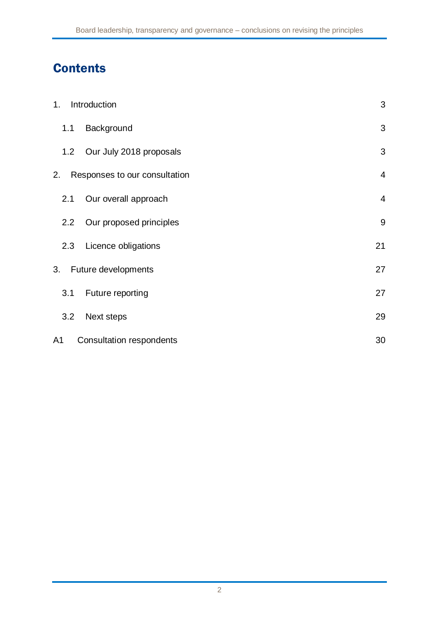# **Contents**

| 1.  | Introduction                    | 3              |
|-----|---------------------------------|----------------|
| 1.1 | Background                      | 3              |
| 1.2 | Our July 2018 proposals         | 3              |
| 2.  | Responses to our consultation   | $\overline{4}$ |
| 2.1 | Our overall approach            | $\overline{4}$ |
| 2.2 | Our proposed principles         | 9              |
| 2.3 | Licence obligations             | 21             |
| 3.  | Future developments             | 27             |
| 3.1 | Future reporting                | 27             |
| 3.2 | Next steps                      | 29             |
| A1  | <b>Consultation respondents</b> | 30             |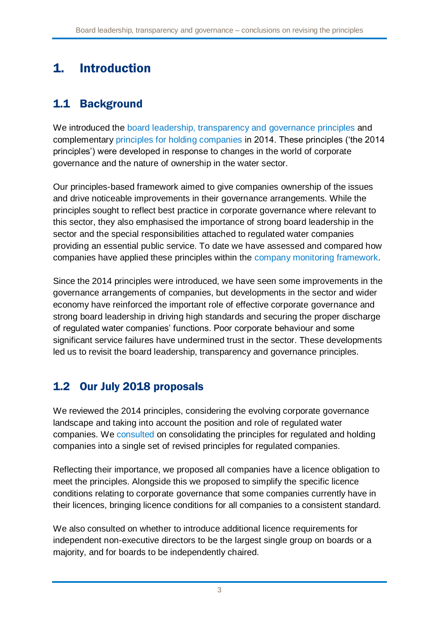# 1. Introduction

## 1.1 Background

We introduced the [board leadership, transparency and governance principles](https://www.ofwat.gov.uk/wp-content/uploads/2015/10/gud_pro20140131leadershipregco.pdf) and complementary [principles for holding companies](https://www.ofwat.gov.uk/wp-content/uploads/2015/10/gud_pro20140131leadershipholdco.pdf) in 2014. These principles ('the 2014 principles') were developed in response to changes in the world of corporate governance and the nature of ownership in the water sector.

Our principles-based framework aimed to give companies ownership of the issues and drive noticeable improvements in their governance arrangements. While the principles sought to reflect best practice in corporate governance where relevant to this sector, they also emphasised the importance of strong board leadership in the sector and the special responsibilities attached to regulated water companies providing an essential public service. To date we have assessed and compared how companies have applied these principles within the [company monitoring framework.](https://www.ofwat.gov.uk/wp-content/uploads/2015/06/20170718-Company-Monitoring-Framework-final-position-final-version.pdf)

Since the 2014 principles were introduced, we have seen some improvements in the governance arrangements of companies, but developments in the sector and wider economy have reinforced the important role of effective corporate governance and strong board leadership in driving high standards and securing the proper discharge of regulated water companies' functions. Poor corporate behaviour and some significant service failures have undermined trust in the sector. These developments led us to revisit the board leadership, transparency and governance principles.

## 1.2 Our July 2018 proposals

We reviewed the 2014 principles, considering the evolving corporate governance landscape and taking into account the position and role of regulated water companies. We [consulted](https://www.ofwat.gov.uk/wp-content/uploads/2018/07/Consultation-on-revised-Board-Leadership-Transparency-and-Governance-principles.pdf) on consolidating the principles for regulated and holding companies into a single set of revised principles for regulated companies.

Reflecting their importance, we proposed all companies have a licence obligation to meet the principles. Alongside this we proposed to simplify the specific licence conditions relating to corporate governance that some companies currently have in their licences, bringing licence conditions for all companies to a consistent standard.

We also consulted on whether to introduce additional licence requirements for independent non-executive directors to be the largest single group on boards or a majority, and for boards to be independently chaired.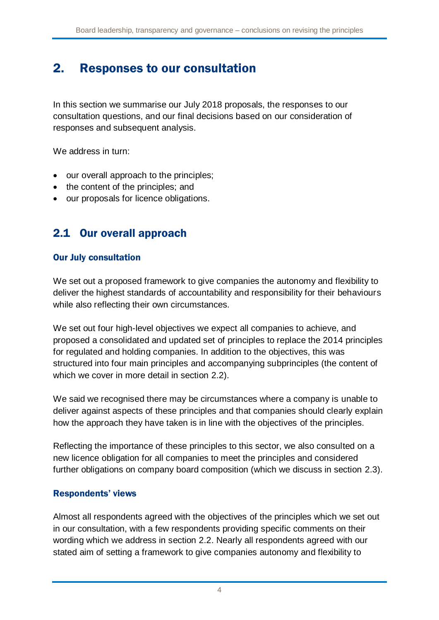## 2. Responses to our consultation

In this section we summarise our July 2018 proposals, the responses to our consultation questions, and our final decisions based on our consideration of responses and subsequent analysis.

We address in turn:

- our overall approach to the principles;
- the content of the principles; and
- our proposals for licence obligations.

## <span id="page-4-0"></span>2.1 Our overall approach

#### Our July consultation

We set out a proposed framework to give companies the autonomy and flexibility to deliver the highest standards of accountability and responsibility for their behaviours while also reflecting their own circumstances.

We set out four high-level objectives we expect all companies to achieve, and proposed a consolidated and updated set of principles to replace the 2014 principles for regulated and holding companies. In addition to the objectives, this was structured into four main principles and accompanying subprinciples (the content of which we cover in more detail in section [2.2\)](#page-9-0).

We said we recognised there may be circumstances where a company is unable to deliver against aspects of these principles and that companies should clearly explain how the approach they have taken is in line with the objectives of the principles.

Reflecting the importance of these principles to this sector, we also consulted on a new licence obligation for all companies to meet the principles and considered further obligations on company board composition (which we discuss in section [2.3\)](#page-21-0).

#### Respondents' views

Almost all respondents agreed with the objectives of the principles which we set out in our consultation, with a few respondents providing specific comments on their wording which we address in section [2.2.](#page-9-0) Nearly all respondents agreed with our stated aim of setting a framework to give companies autonomy and flexibility to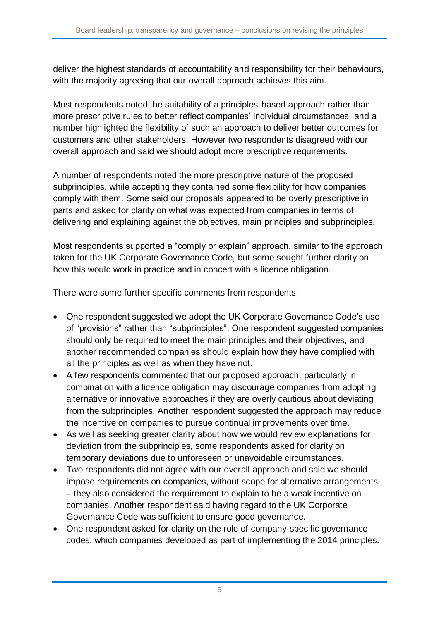deliver the highest standards of accountability and responsibility for their behaviours, with the majority agreeing that our overall approach achieves this aim.

Most respondents noted the suitability of a principles-based approach rather than more prescriptive rules to better reflect companies' individual circumstances, and a number highlighted the flexibility of such an approach to deliver better outcomes for customers and other stakeholders. However two respondents disagreed with our overall approach and said we should adopt more prescriptive requirements.

A number of respondents noted the more prescriptive nature of the proposed subprinciples, while accepting they contained some flexibility for how companies comply with them. Some said our proposals appeared to be overly prescriptive in parts and asked for clarity on what was expected from companies in terms of delivering and explaining against the objectives, main principles and subprinciples.

Most respondents supported a "comply or explain" approach, similar to the approach taken for the UK Corporate Governance Code, but some sought further clarity on how this would work in practice and in concert with a licence obligation.

There were some further specific comments from respondents:

- One respondent suggested we adopt the UK Corporate Governance Code's use of "provisions" rather than "subprinciples". One respondent suggested companies should only be required to meet the main principles and their objectives, and another recommended companies should explain how they have complied with all the principles as well as when they have not.
- A few respondents commented that our proposed approach, particularly in combination with a licence obligation may discourage companies from adopting alternative or innovative approaches if they are overly cautious about deviating from the subprinciples. Another respondent suggested the approach may reduce the incentive on companies to pursue continual improvements over time.
- As well as seeking greater clarity about how we would review explanations for deviation from the subprinciples, some respondents asked for clarity on temporary deviations due to unforeseen or unavoidable circumstances.
- Two respondents did not agree with our overall approach and said we should impose requirements on companies, without scope for alternative arrangements – they also considered the requirement to explain to be a weak incentive on companies. Another respondent said having regard to the UK Corporate Governance Code was sufficient to ensure good governance.
- One respondent asked for clarity on the role of company-specific governance codes, which companies developed as part of implementing the 2014 principles.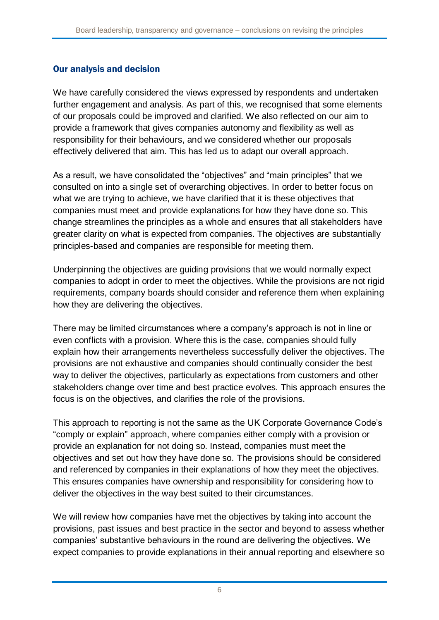#### Our analysis and decision

We have carefully considered the views expressed by respondents and undertaken further engagement and analysis. As part of this, we recognised that some elements of our proposals could be improved and clarified. We also reflected on our aim to provide a framework that gives companies autonomy and flexibility as well as responsibility for their behaviours, and we considered whether our proposals effectively delivered that aim. This has led us to adapt our overall approach.

As a result, we have consolidated the "objectives" and "main principles" that we consulted on into a single set of overarching objectives. In order to better focus on what we are trying to achieve, we have clarified that it is these objectives that companies must meet and provide explanations for how they have done so. This change streamlines the principles as a whole and ensures that all stakeholders have greater clarity on what is expected from companies. The objectives are substantially principles-based and companies are responsible for meeting them.

Underpinning the objectives are guiding provisions that we would normally expect companies to adopt in order to meet the objectives. While the provisions are not rigid requirements, company boards should consider and reference them when explaining how they are delivering the objectives.

There may be limited circumstances where a company's approach is not in line or even conflicts with a provision. Where this is the case, companies should fully explain how their arrangements nevertheless successfully deliver the objectives. The provisions are not exhaustive and companies should continually consider the best way to deliver the objectives, particularly as expectations from customers and other stakeholders change over time and best practice evolves. This approach ensures the focus is on the objectives, and clarifies the role of the provisions.

This approach to reporting is not the same as the UK Corporate Governance Code's "comply or explain" approach, where companies either comply with a provision or provide an explanation for not doing so. Instead, companies must meet the objectives and set out how they have done so. The provisions should be considered and referenced by companies in their explanations of how they meet the objectives. This ensures companies have ownership and responsibility for considering how to deliver the objectives in the way best suited to their circumstances.

We will review how companies have met the objectives by taking into account the provisions, past issues and best practice in the sector and beyond to assess whether companies' substantive behaviours in the round are delivering the objectives. We expect companies to provide explanations in their annual reporting and elsewhere so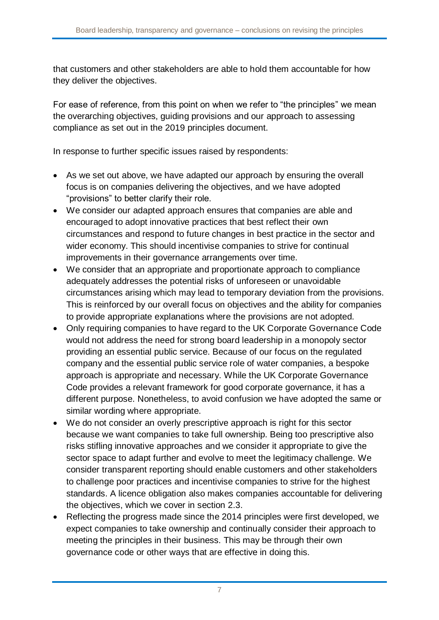that customers and other stakeholders are able to hold them accountable for how they deliver the objectives.

For ease of reference, from this point on when we refer to "the principles" we mean the overarching objectives, guiding provisions and our approach to assessing compliance as set out in the 2019 principles document.

In response to further specific issues raised by respondents:

- As we set out above, we have adapted our approach by ensuring the overall focus is on companies delivering the objectives, and we have adopted "provisions" to better clarify their role.
- We consider our adapted approach ensures that companies are able and encouraged to adopt innovative practices that best reflect their own circumstances and respond to future changes in best practice in the sector and wider economy. This should incentivise companies to strive for continual improvements in their governance arrangements over time.
- We consider that an appropriate and proportionate approach to compliance adequately addresses the potential risks of unforeseen or unavoidable circumstances arising which may lead to temporary deviation from the provisions. This is reinforced by our overall focus on objectives and the ability for companies to provide appropriate explanations where the provisions are not adopted.
- Only requiring companies to have regard to the UK Corporate Governance Code would not address the need for strong board leadership in a monopoly sector providing an essential public service. Because of our focus on the regulated company and the essential public service role of water companies, a bespoke approach is appropriate and necessary. While the UK Corporate Governance Code provides a relevant framework for good corporate governance, it has a different purpose. Nonetheless, to avoid confusion we have adopted the same or similar wording where appropriate.
- We do not consider an overly prescriptive approach is right for this sector because we want companies to take full ownership. Being too prescriptive also risks stifling innovative approaches and we consider it appropriate to give the sector space to adapt further and evolve to meet the legitimacy challenge. We consider transparent reporting should enable customers and other stakeholders to challenge poor practices and incentivise companies to strive for the highest standards. A licence obligation also makes companies accountable for delivering the objectives, which we cover in section [2.3.](#page-21-0)
- Reflecting the progress made since the 2014 principles were first developed, we expect companies to take ownership and continually consider their approach to meeting the principles in their business. This may be through their own governance code or other ways that are effective in doing this.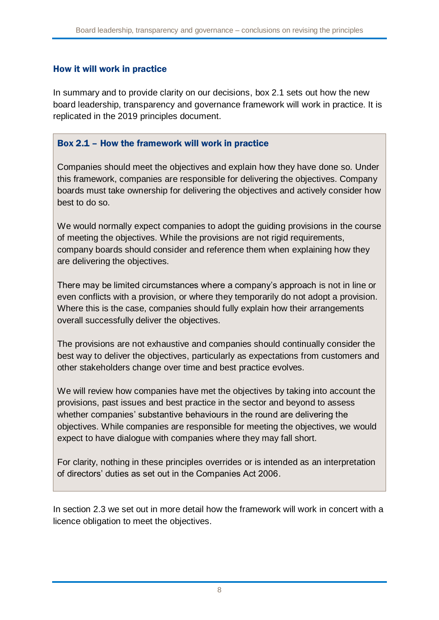#### How it will work in practice

In summary and to provide clarity on our decisions, box 2.1 sets out how the new board leadership, transparency and governance framework will work in practice. It is replicated in the 2019 principles document.

#### Box 2.1 – How the framework will work in practice

Companies should meet the objectives and explain how they have done so. Under this framework, companies are responsible for delivering the objectives. Company boards must take ownership for delivering the objectives and actively consider how best to do so.

We would normally expect companies to adopt the guiding provisions in the course of meeting the objectives. While the provisions are not rigid requirements, company boards should consider and reference them when explaining how they are delivering the objectives.

There may be limited circumstances where a company's approach is not in line or even conflicts with a provision, or where they temporarily do not adopt a provision. Where this is the case, companies should fully explain how their arrangements overall successfully deliver the objectives.

The provisions are not exhaustive and companies should continually consider the best way to deliver the objectives, particularly as expectations from customers and other stakeholders change over time and best practice evolves.

We will review how companies have met the objectives by taking into account the provisions, past issues and best practice in the sector and beyond to assess whether companies' substantive behaviours in the round are delivering the objectives. While companies are responsible for meeting the objectives, we would expect to have dialogue with companies where they may fall short.

For clarity, nothing in these principles overrides or is intended as an interpretation of directors' duties as set out in the Companies Act 2006.

In section [2.3](#page-21-0) we set out in more detail how the framework will work in concert with a licence obligation to meet the objectives.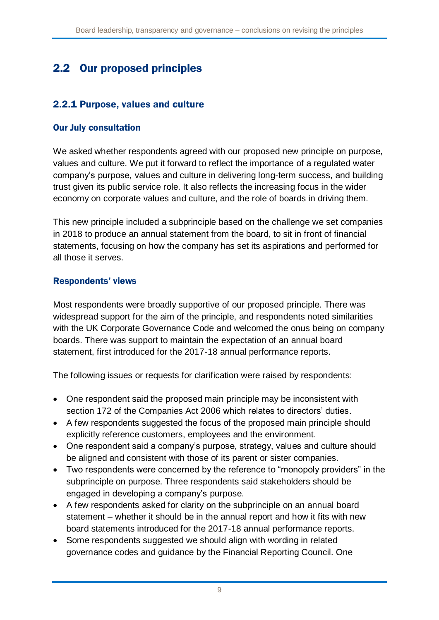## <span id="page-9-0"></span>2.2 Our proposed principles

### 2.2.1 Purpose, values and culture

#### Our July consultation

We asked whether respondents agreed with our proposed new principle on purpose, values and culture. We put it forward to reflect the importance of a regulated water company's purpose, values and culture in delivering long-term success, and building trust given its public service role. It also reflects the increasing focus in the wider economy on corporate values and culture, and the role of boards in driving them.

This new principle included a subprinciple based on the challenge we set companies in 2018 to produce an annual statement from the board, to sit in front of financial statements, focusing on how the company has set its aspirations and performed for all those it serves.

#### Respondents' views

Most respondents were broadly supportive of our proposed principle. There was widespread support for the aim of the principle, and respondents noted similarities with the UK Corporate Governance Code and welcomed the onus being on company boards. There was support to maintain the expectation of an annual board statement, first introduced for the 2017-18 annual performance reports.

The following issues or requests for clarification were raised by respondents:

- One respondent said the proposed main principle may be inconsistent with section 172 of the Companies Act 2006 which relates to directors' duties.
- A few respondents suggested the focus of the proposed main principle should explicitly reference customers, employees and the environment.
- One respondent said a company's purpose, strategy, values and culture should be aligned and consistent with those of its parent or sister companies.
- Two respondents were concerned by the reference to "monopoly providers" in the subprinciple on purpose. Three respondents said stakeholders should be engaged in developing a company's purpose.
- A few respondents asked for clarity on the subprinciple on an annual board statement – whether it should be in the annual report and how it fits with new board statements introduced for the 2017-18 annual performance reports.
- Some respondents suggested we should align with wording in related governance codes and guidance by the Financial Reporting Council. One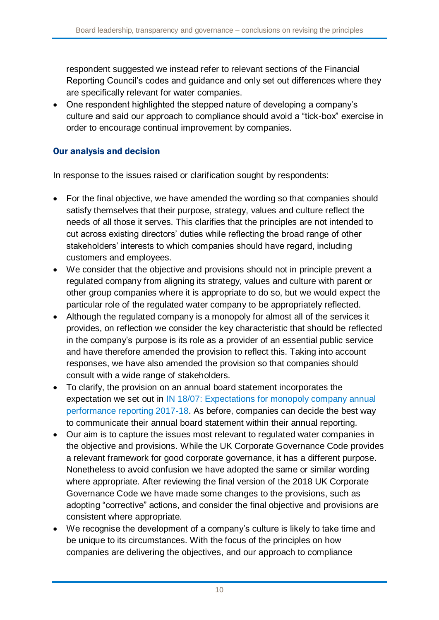respondent suggested we instead refer to relevant sections of the Financial Reporting Council's codes and guidance and only set out differences where they are specifically relevant for water companies.

• One respondent highlighted the stepped nature of developing a company's culture and said our approach to compliance should avoid a "tick-box" exercise in order to encourage continual improvement by companies.

#### Our analysis and decision

In response to the issues raised or clarification sought by respondents:

- For the final objective, we have amended the wording so that companies should satisfy themselves that their purpose, strategy, values and culture reflect the needs of all those it serves. This clarifies that the principles are not intended to cut across existing directors' duties while reflecting the broad range of other stakeholders' interests to which companies should have regard, including customers and employees.
- We consider that the objective and provisions should not in principle prevent a regulated company from aligning its strategy, values and culture with parent or other group companies where it is appropriate to do so, but we would expect the particular role of the regulated water company to be appropriately reflected.
- Although the regulated company is a monopoly for almost all of the services it provides, on reflection we consider the key characteristic that should be reflected in the company's purpose is its role as a provider of an essential public service and have therefore amended the provision to reflect this. Taking into account responses, we have also amended the provision so that companies should consult with a wide range of stakeholders.
- To clarify, the provision on an annual board statement incorporates the expectation we set out in [IN 18/07: Expectations for monopoly company annual](https://www.ofwat.gov.uk/publication/18-07-expectations-monopoly-company-annual-performance-reporting-2017-18/)  [performance reporting 2017-18.](https://www.ofwat.gov.uk/publication/18-07-expectations-monopoly-company-annual-performance-reporting-2017-18/) As before, companies can decide the best way to communicate their annual board statement within their annual reporting.
- Our aim is to capture the issues most relevant to regulated water companies in the objective and provisions. While the UK Corporate Governance Code provides a relevant framework for good corporate governance, it has a different purpose. Nonetheless to avoid confusion we have adopted the same or similar wording where appropriate. After reviewing the final version of the 2018 UK Corporate Governance Code we have made some changes to the provisions, such as adopting "corrective" actions, and consider the final objective and provisions are consistent where appropriate.
- We recognise the development of a company's culture is likely to take time and be unique to its circumstances. With the focus of the principles on how companies are delivering the objectives, and our approach to compliance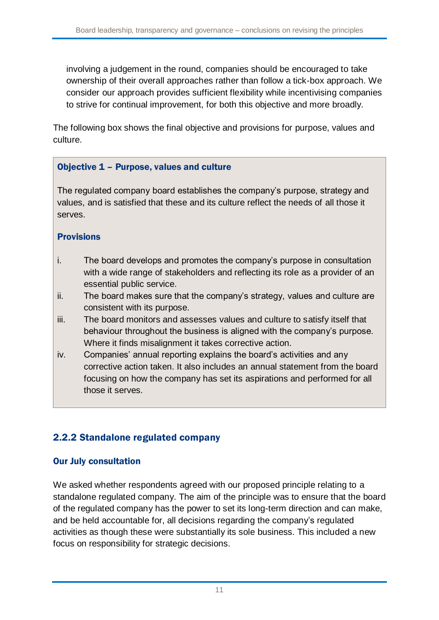involving a judgement in the round, companies should be encouraged to take ownership of their overall approaches rather than follow a tick-box approach. We consider our approach provides sufficient flexibility while incentivising companies to strive for continual improvement, for both this objective and more broadly.

The following box shows the final objective and provisions for purpose, values and culture.

#### Objective 1 – Purpose, values and culture

The regulated company board establishes the company's purpose, strategy and values, and is satisfied that these and its culture reflect the needs of all those it serves.

#### Provisions

- i. The board develops and promotes the company's purpose in consultation with a wide range of stakeholders and reflecting its role as a provider of an essential public service.
- ii. The board makes sure that the company's strategy, values and culture are consistent with its purpose.
- iii. The board monitors and assesses values and culture to satisfy itself that behaviour throughout the business is aligned with the company's purpose. Where it finds misalignment it takes corrective action.
- iv. Companies' annual reporting explains the board's activities and any corrective action taken. It also includes an annual statement from the board focusing on how the company has set its aspirations and performed for all those it serves.

### 2.2.2 Standalone regulated company

#### Our July consultation

We asked whether respondents agreed with our proposed principle relating to a standalone regulated company. The aim of the principle was to ensure that the board of the regulated company has the power to set its long-term direction and can make, and be held accountable for, all decisions regarding the company's regulated activities as though these were substantially its sole business. This included a new focus on responsibility for strategic decisions.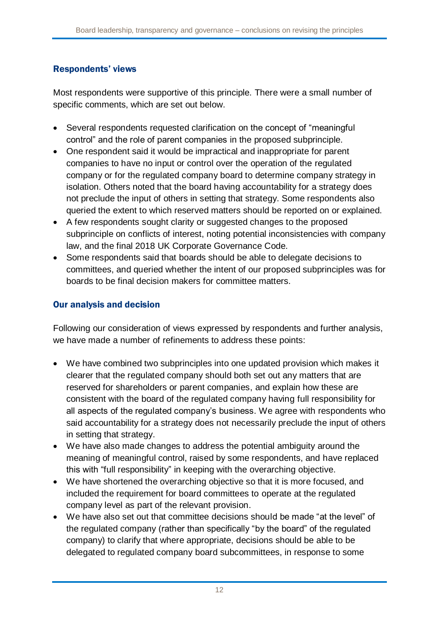### Respondents' views

Most respondents were supportive of this principle. There were a small number of specific comments, which are set out below.

- Several respondents requested clarification on the concept of "meaningful control" and the role of parent companies in the proposed subprinciple.
- One respondent said it would be impractical and inappropriate for parent companies to have no input or control over the operation of the regulated company or for the regulated company board to determine company strategy in isolation. Others noted that the board having accountability for a strategy does not preclude the input of others in setting that strategy. Some respondents also queried the extent to which reserved matters should be reported on or explained.
- A few respondents sought clarity or suggested changes to the proposed subprinciple on conflicts of interest, noting potential inconsistencies with company law, and the final 2018 UK Corporate Governance Code.
- Some respondents said that boards should be able to delegate decisions to committees, and queried whether the intent of our proposed subprinciples was for boards to be final decision makers for committee matters.

### Our analysis and decision

Following our consideration of views expressed by respondents and further analysis, we have made a number of refinements to address these points:

- We have combined two subprinciples into one updated provision which makes it clearer that the regulated company should both set out any matters that are reserved for shareholders or parent companies, and explain how these are consistent with the board of the regulated company having full responsibility for all aspects of the regulated company's business. We agree with respondents who said accountability for a strategy does not necessarily preclude the input of others in setting that strategy.
- We have also made changes to address the potential ambiguity around the meaning of meaningful control, raised by some respondents, and have replaced this with "full responsibility" in keeping with the overarching objective.
- We have shortened the overarching objective so that it is more focused, and included the requirement for board committees to operate at the regulated company level as part of the relevant provision.
- We have also set out that committee decisions should be made "at the level" of the regulated company (rather than specifically "by the board" of the regulated company) to clarify that where appropriate, decisions should be able to be delegated to regulated company board subcommittees, in response to some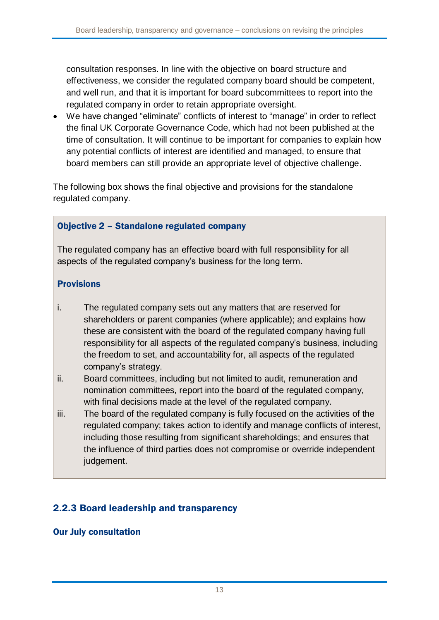consultation responses. In line with the objective on board structure and effectiveness, we consider the regulated company board should be competent, and well run, and that it is important for board subcommittees to report into the regulated company in order to retain appropriate oversight.

 We have changed "eliminate" conflicts of interest to "manage" in order to reflect the final UK Corporate Governance Code, which had not been published at the time of consultation. It will continue to be important for companies to explain how any potential conflicts of interest are identified and managed, to ensure that board members can still provide an appropriate level of objective challenge.

The following box shows the final objective and provisions for the standalone regulated company.

#### Objective 2 – Standalone regulated company

The regulated company has an effective board with full responsibility for all aspects of the regulated company's business for the long term.

#### Provisions

- i. The regulated company sets out any matters that are reserved for shareholders or parent companies (where applicable); and explains how these are consistent with the board of the regulated company having full responsibility for all aspects of the regulated company's business, including the freedom to set, and accountability for, all aspects of the regulated company's strategy.
- ii. Board committees, including but not limited to audit, remuneration and nomination committees, report into the board of the regulated company, with final decisions made at the level of the regulated company.
- iii. The board of the regulated company is fully focused on the activities of the regulated company; takes action to identify and manage conflicts of interest, including those resulting from significant shareholdings; and ensures that the influence of third parties does not compromise or override independent judgement.

### 2.2.3 Board leadership and transparency

#### Our July consultation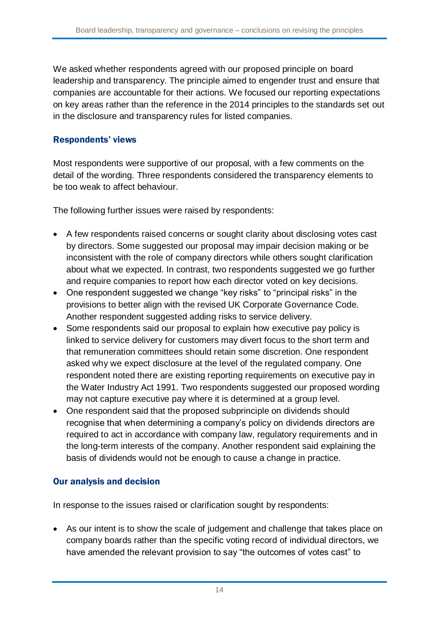We asked whether respondents agreed with our proposed principle on board leadership and transparency. The principle aimed to engender trust and ensure that companies are accountable for their actions. We focused our reporting expectations on key areas rather than the reference in the 2014 principles to the standards set out in the disclosure and transparency rules for listed companies.

#### Respondents' views

Most respondents were supportive of our proposal, with a few comments on the detail of the wording. Three respondents considered the transparency elements to be too weak to affect behaviour.

The following further issues were raised by respondents:

- A few respondents raised concerns or sought clarity about disclosing votes cast by directors. Some suggested our proposal may impair decision making or be inconsistent with the role of company directors while others sought clarification about what we expected. In contrast, two respondents suggested we go further and require companies to report how each director voted on key decisions.
- One respondent suggested we change "key risks" to "principal risks" in the provisions to better align with the revised UK Corporate Governance Code. Another respondent suggested adding risks to service delivery.
- Some respondents said our proposal to explain how executive pay policy is linked to service delivery for customers may divert focus to the short term and that remuneration committees should retain some discretion. One respondent asked why we expect disclosure at the level of the regulated company. One respondent noted there are existing reporting requirements on executive pay in the Water Industry Act 1991. Two respondents suggested our proposed wording may not capture executive pay where it is determined at a group level.
- One respondent said that the proposed subprinciple on dividends should recognise that when determining a company's policy on dividends directors are required to act in accordance with company law, regulatory requirements and in the long-term interests of the company. Another respondent said explaining the basis of dividends would not be enough to cause a change in practice.

#### Our analysis and decision

In response to the issues raised or clarification sought by respondents:

 As our intent is to show the scale of judgement and challenge that takes place on company boards rather than the specific voting record of individual directors, we have amended the relevant provision to say "the outcomes of votes cast" to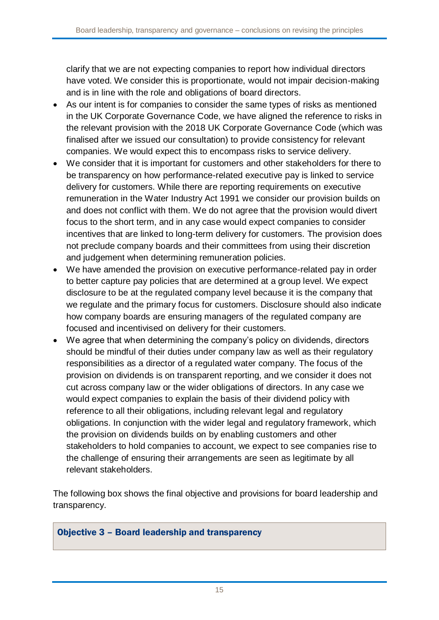clarify that we are not expecting companies to report how individual directors have voted. We consider this is proportionate, would not impair decision-making and is in line with the role and obligations of board directors.

- As our intent is for companies to consider the same types of risks as mentioned in the UK Corporate Governance Code, we have aligned the reference to risks in the relevant provision with the 2018 UK Corporate Governance Code (which was finalised after we issued our consultation) to provide consistency for relevant companies. We would expect this to encompass risks to service delivery.
- We consider that it is important for customers and other stakeholders for there to be transparency on how performance-related executive pay is linked to service delivery for customers. While there are reporting requirements on executive remuneration in the Water Industry Act 1991 we consider our provision builds on and does not conflict with them. We do not agree that the provision would divert focus to the short term, and in any case would expect companies to consider incentives that are linked to long-term delivery for customers. The provision does not preclude company boards and their committees from using their discretion and judgement when determining remuneration policies.
- We have amended the provision on executive performance-related pay in order to better capture pay policies that are determined at a group level. We expect disclosure to be at the regulated company level because it is the company that we regulate and the primary focus for customers. Disclosure should also indicate how company boards are ensuring managers of the regulated company are focused and incentivised on delivery for their customers.
- We agree that when determining the company's policy on dividends, directors should be mindful of their duties under company law as well as their regulatory responsibilities as a director of a regulated water company. The focus of the provision on dividends is on transparent reporting, and we consider it does not cut across company law or the wider obligations of directors. In any case we would expect companies to explain the basis of their dividend policy with reference to all their obligations, including relevant legal and regulatory obligations. In conjunction with the wider legal and regulatory framework, which the provision on dividends builds on by enabling customers and other stakeholders to hold companies to account, we expect to see companies rise to the challenge of ensuring their arrangements are seen as legitimate by all relevant stakeholders.

The following box shows the final objective and provisions for board leadership and transparency.

#### Objective 3 – Board leadership and transparency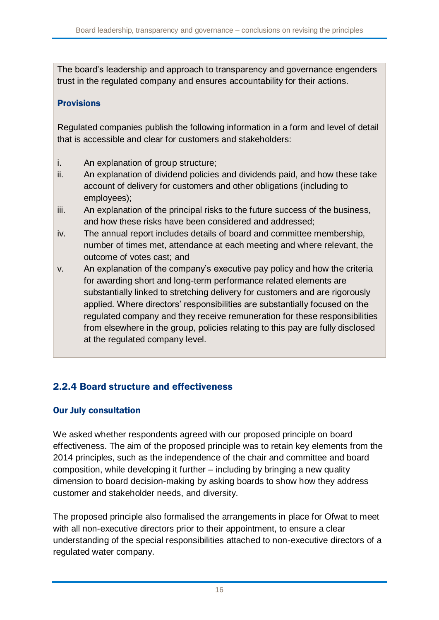The board's leadership and approach to transparency and governance engenders trust in the regulated company and ensures accountability for their actions.

#### **Provisions**

Regulated companies publish the following information in a form and level of detail that is accessible and clear for customers and stakeholders:

- i. An explanation of group structure;
- ii. An explanation of dividend policies and dividends paid, and how these take account of delivery for customers and other obligations (including to employees);
- iii. An explanation of the principal risks to the future success of the business, and how these risks have been considered and addressed;
- iv. The annual report includes details of board and committee membership, number of times met, attendance at each meeting and where relevant, the outcome of votes cast; and
- v. An explanation of the company's executive pay policy and how the criteria for awarding short and long-term performance related elements are substantially linked to stretching delivery for customers and are rigorously applied. Where directors' responsibilities are substantially focused on the regulated company and they receive remuneration for these responsibilities from elsewhere in the group, policies relating to this pay are fully disclosed at the regulated company level.

### 2.2.4 Board structure and effectiveness

#### Our July consultation

We asked whether respondents agreed with our proposed principle on board effectiveness. The aim of the proposed principle was to retain key elements from the 2014 principles, such as the independence of the chair and committee and board composition, while developing it further – including by bringing a new quality dimension to board decision-making by asking boards to show how they address customer and stakeholder needs, and diversity.

The proposed principle also formalised the arrangements in place for Ofwat to meet with all non-executive directors prior to their appointment, to ensure a clear understanding of the special responsibilities attached to non-executive directors of a regulated water company.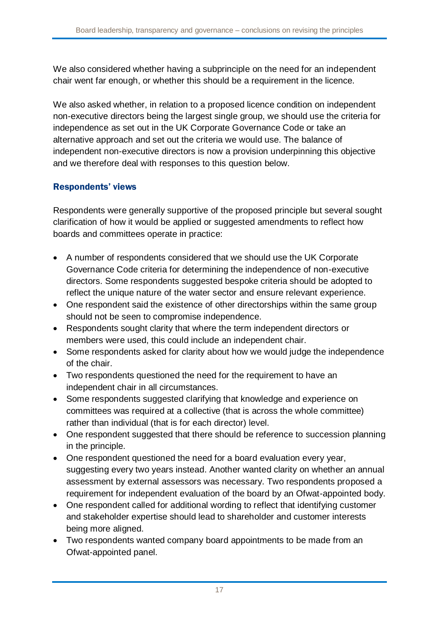We also considered whether having a subprinciple on the need for an independent chair went far enough, or whether this should be a requirement in the licence.

We also asked whether, in relation to a proposed licence condition on independent non-executive directors being the largest single group, we should use the criteria for independence as set out in the UK Corporate Governance Code or take an alternative approach and set out the criteria we would use. The balance of independent non-executive directors is now a provision underpinning this objective and we therefore deal with responses to this question below.

### Respondents' views

Respondents were generally supportive of the proposed principle but several sought clarification of how it would be applied or suggested amendments to reflect how boards and committees operate in practice:

- A number of respondents considered that we should use the UK Corporate Governance Code criteria for determining the independence of non-executive directors. Some respondents suggested bespoke criteria should be adopted to reflect the unique nature of the water sector and ensure relevant experience.
- One respondent said the existence of other directorships within the same group should not be seen to compromise independence.
- Respondents sought clarity that where the term independent directors or members were used, this could include an independent chair.
- Some respondents asked for clarity about how we would judge the independence of the chair.
- Two respondents questioned the need for the requirement to have an independent chair in all circumstances.
- Some respondents suggested clarifying that knowledge and experience on committees was required at a collective (that is across the whole committee) rather than individual (that is for each director) level.
- One respondent suggested that there should be reference to succession planning in the principle.
- One respondent questioned the need for a board evaluation every year, suggesting every two years instead. Another wanted clarity on whether an annual assessment by external assessors was necessary. Two respondents proposed a requirement for independent evaluation of the board by an Ofwat-appointed body.
- One respondent called for additional wording to reflect that identifying customer and stakeholder expertise should lead to shareholder and customer interests being more aligned.
- Two respondents wanted company board appointments to be made from an Ofwat-appointed panel.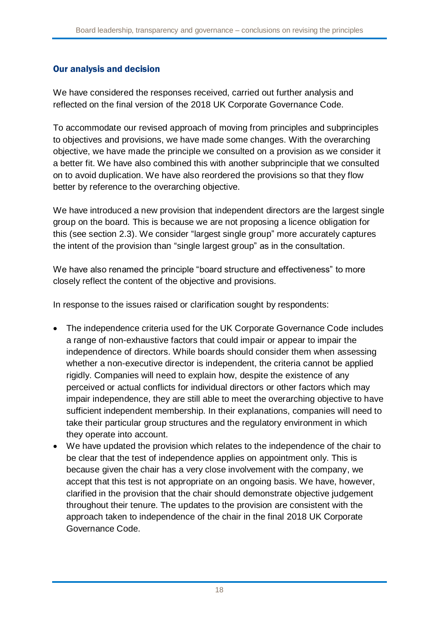#### Our analysis and decision

We have considered the responses received, carried out further analysis and reflected on the final version of the 2018 UK Corporate Governance Code.

To accommodate our revised approach of moving from principles and subprinciples to objectives and provisions, we have made some changes. With the overarching objective, we have made the principle we consulted on a provision as we consider it a better fit. We have also combined this with another subprinciple that we consulted on to avoid duplication. We have also reordered the provisions so that they flow better by reference to the overarching objective.

We have introduced a new provision that independent directors are the largest single group on the board. This is because we are not proposing a licence obligation for this (see section [2.3\)](#page-21-0). We consider "largest single group" more accurately captures the intent of the provision than "single largest group" as in the consultation.

We have also renamed the principle "board structure and effectiveness" to more closely reflect the content of the objective and provisions.

In response to the issues raised or clarification sought by respondents:

- The independence criteria used for the UK Corporate Governance Code includes a range of non-exhaustive factors that could impair or appear to impair the independence of directors. While boards should consider them when assessing whether a non-executive director is independent, the criteria cannot be applied rigidly. Companies will need to explain how, despite the existence of any perceived or actual conflicts for individual directors or other factors which may impair independence, they are still able to meet the overarching objective to have sufficient independent membership. In their explanations, companies will need to take their particular group structures and the regulatory environment in which they operate into account.
- We have updated the provision which relates to the independence of the chair to be clear that the test of independence applies on appointment only. This is because given the chair has a very close involvement with the company, we accept that this test is not appropriate on an ongoing basis. We have, however, clarified in the provision that the chair should demonstrate objective judgement throughout their tenure. The updates to the provision are consistent with the approach taken to independence of the chair in the final 2018 UK Corporate Governance Code.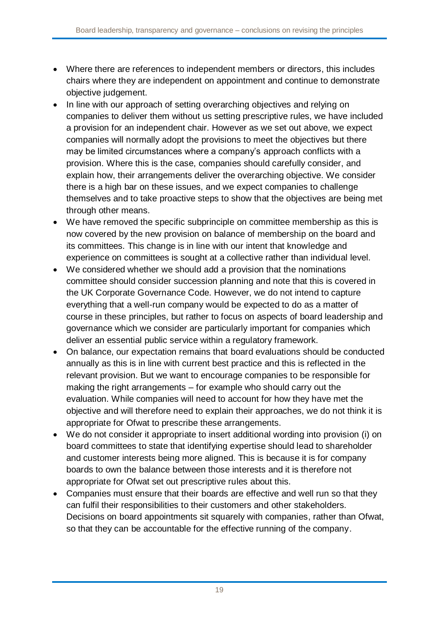- Where there are references to independent members or directors, this includes chairs where they are independent on appointment and continue to demonstrate objective judgement.
- In line with our approach of setting overarching objectives and relying on companies to deliver them without us setting prescriptive rules, we have included a provision for an independent chair. However as we set out above, we expect companies will normally adopt the provisions to meet the objectives but there may be limited circumstances where a company's approach conflicts with a provision. Where this is the case, companies should carefully consider, and explain how, their arrangements deliver the overarching objective. We consider there is a high bar on these issues, and we expect companies to challenge themselves and to take proactive steps to show that the objectives are being met through other means.
- We have removed the specific subprinciple on committee membership as this is now covered by the new provision on balance of membership on the board and its committees. This change is in line with our intent that knowledge and experience on committees is sought at a collective rather than individual level.
- We considered whether we should add a provision that the nominations committee should consider succession planning and note that this is covered in the UK Corporate Governance Code. However, we do not intend to capture everything that a well-run company would be expected to do as a matter of course in these principles, but rather to focus on aspects of board leadership and governance which we consider are particularly important for companies which deliver an essential public service within a regulatory framework.
- On balance, our expectation remains that board evaluations should be conducted annually as this is in line with current best practice and this is reflected in the relevant provision. But we want to encourage companies to be responsible for making the right arrangements – for example who should carry out the evaluation. While companies will need to account for how they have met the objective and will therefore need to explain their approaches, we do not think it is appropriate for Ofwat to prescribe these arrangements.
- We do not consider it appropriate to insert additional wording into provision (i) on board committees to state that identifying expertise should lead to shareholder and customer interests being more aligned. This is because it is for company boards to own the balance between those interests and it is therefore not appropriate for Ofwat set out prescriptive rules about this.
- Companies must ensure that their boards are effective and well run so that they can fulfil their responsibilities to their customers and other stakeholders. Decisions on board appointments sit squarely with companies, rather than Ofwat, so that they can be accountable for the effective running of the company.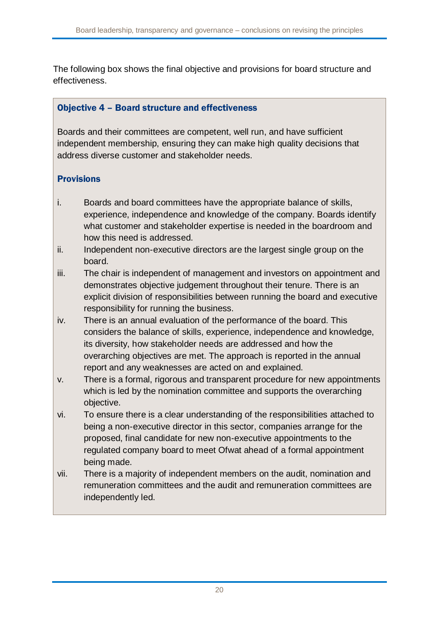The following box shows the final objective and provisions for board structure and effectiveness.

#### Objective 4 – Board structure and effectiveness

Boards and their committees are competent, well run, and have sufficient independent membership, ensuring they can make high quality decisions that address diverse customer and stakeholder needs.

## **Provisions**

- i. Boards and board committees have the appropriate balance of skills, experience, independence and knowledge of the company. Boards identify what customer and stakeholder expertise is needed in the boardroom and how this need is addressed.
- ii. Independent non-executive directors are the largest single group on the board.
- iii. The chair is independent of management and investors on appointment and demonstrates objective judgement throughout their tenure. There is an explicit division of responsibilities between running the board and executive responsibility for running the business.
- iv. There is an annual evaluation of the performance of the board. This considers the balance of skills, experience, independence and knowledge, its diversity, how stakeholder needs are addressed and how the overarching objectives are met. The approach is reported in the annual report and any weaknesses are acted on and explained.
- v. There is a formal, rigorous and transparent procedure for new appointments which is led by the nomination committee and supports the overarching objective.
- vi. To ensure there is a clear understanding of the responsibilities attached to being a non-executive director in this sector, companies arrange for the proposed, final candidate for new non-executive appointments to the regulated company board to meet Ofwat ahead of a formal appointment being made.
- vii. There is a majority of independent members on the audit, nomination and remuneration committees and the audit and remuneration committees are independently led.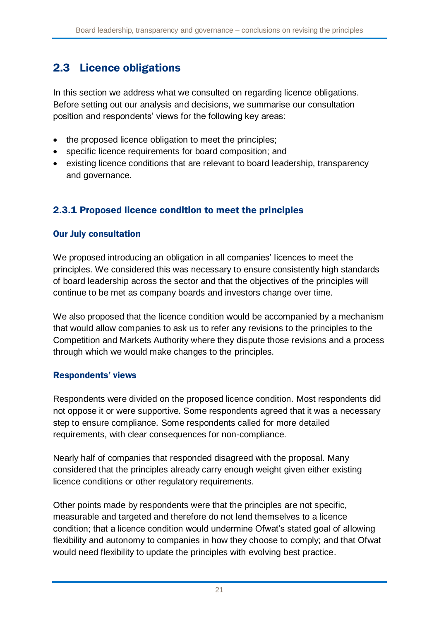## <span id="page-21-0"></span>2.3 Licence obligations

In this section we address what we consulted on regarding licence obligations. Before setting out our analysis and decisions, we summarise our consultation position and respondents' views for the following key areas:

- the proposed licence obligation to meet the principles;
- specific licence requirements for board composition; and
- existing licence conditions that are relevant to board leadership, transparency and governance.

## 2.3.1 Proposed licence condition to meet the principles

#### Our July consultation

We proposed introducing an obligation in all companies' licences to meet the principles. We considered this was necessary to ensure consistently high standards of board leadership across the sector and that the objectives of the principles will continue to be met as company boards and investors change over time.

We also proposed that the licence condition would be accompanied by a mechanism that would allow companies to ask us to refer any revisions to the principles to the Competition and Markets Authority where they dispute those revisions and a process through which we would make changes to the principles.

#### Respondents' views

Respondents were divided on the proposed licence condition. Most respondents did not oppose it or were supportive. Some respondents agreed that it was a necessary step to ensure compliance. Some respondents called for more detailed requirements, with clear consequences for non-compliance.

Nearly half of companies that responded disagreed with the proposal. Many considered that the principles already carry enough weight given either existing licence conditions or other regulatory requirements.

Other points made by respondents were that the principles are not specific, measurable and targeted and therefore do not lend themselves to a licence condition; that a licence condition would undermine Ofwat's stated goal of allowing flexibility and autonomy to companies in how they choose to comply; and that Ofwat would need flexibility to update the principles with evolving best practice.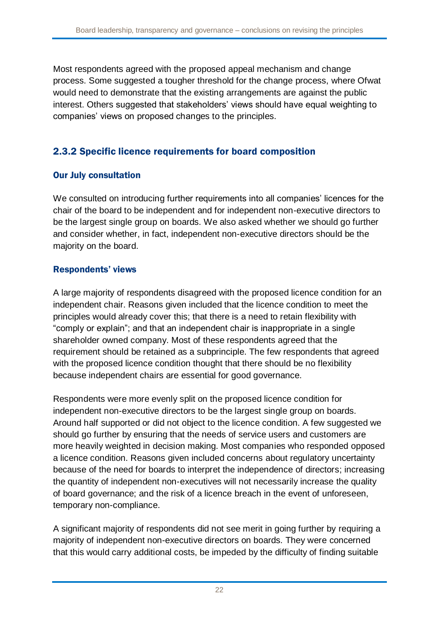Most respondents agreed with the proposed appeal mechanism and change process. Some suggested a tougher threshold for the change process, where Ofwat would need to demonstrate that the existing arrangements are against the public interest. Others suggested that stakeholders' views should have equal weighting to companies' views on proposed changes to the principles.

## 2.3.2 Specific licence requirements for board composition

#### Our July consultation

We consulted on introducing further requirements into all companies' licences for the chair of the board to be independent and for independent non-executive directors to be the largest single group on boards. We also asked whether we should go further and consider whether, in fact, independent non-executive directors should be the majority on the board.

#### Respondents' views

A large majority of respondents disagreed with the proposed licence condition for an independent chair. Reasons given included that the licence condition to meet the principles would already cover this; that there is a need to retain flexibility with "comply or explain"; and that an independent chair is inappropriate in a single shareholder owned company. Most of these respondents agreed that the requirement should be retained as a subprinciple. The few respondents that agreed with the proposed licence condition thought that there should be no flexibility because independent chairs are essential for good governance.

Respondents were more evenly split on the proposed licence condition for independent non-executive directors to be the largest single group on boards. Around half supported or did not object to the licence condition. A few suggested we should go further by ensuring that the needs of service users and customers are more heavily weighted in decision making. Most companies who responded opposed a licence condition. Reasons given included concerns about regulatory uncertainty because of the need for boards to interpret the independence of directors; increasing the quantity of independent non-executives will not necessarily increase the quality of board governance; and the risk of a licence breach in the event of unforeseen, temporary non-compliance.

A significant majority of respondents did not see merit in going further by requiring a majority of independent non-executive directors on boards. They were concerned that this would carry additional costs, be impeded by the difficulty of finding suitable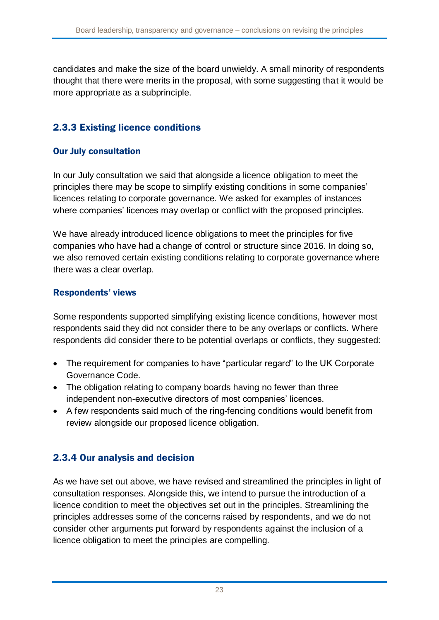candidates and make the size of the board unwieldy. A small minority of respondents thought that there were merits in the proposal, with some suggesting that it would be more appropriate as a subprinciple.

## 2.3.3 Existing licence conditions

#### Our July consultation

In our July consultation we said that alongside a licence obligation to meet the principles there may be scope to simplify existing conditions in some companies' licences relating to corporate governance. We asked for examples of instances where companies' licences may overlap or conflict with the proposed principles.

We have already introduced licence obligations to meet the principles for five companies who have had a change of control or structure since 2016. In doing so, we also removed certain existing conditions relating to corporate governance where there was a clear overlap.

#### Respondents' views

Some respondents supported simplifying existing licence conditions, however most respondents said they did not consider there to be any overlaps or conflicts. Where respondents did consider there to be potential overlaps or conflicts, they suggested:

- The requirement for companies to have "particular regard" to the UK Corporate Governance Code.
- The obligation relating to company boards having no fewer than three independent non-executive directors of most companies' licences.
- A few respondents said much of the ring-fencing conditions would benefit from review alongside our proposed licence obligation.

### 2.3.4 Our analysis and decision

As we have set out above, we have revised and streamlined the principles in light of consultation responses. Alongside this, we intend to pursue the introduction of a licence condition to meet the objectives set out in the principles. Streamlining the principles addresses some of the concerns raised by respondents, and we do not consider other arguments put forward by respondents against the inclusion of a licence obligation to meet the principles are compelling.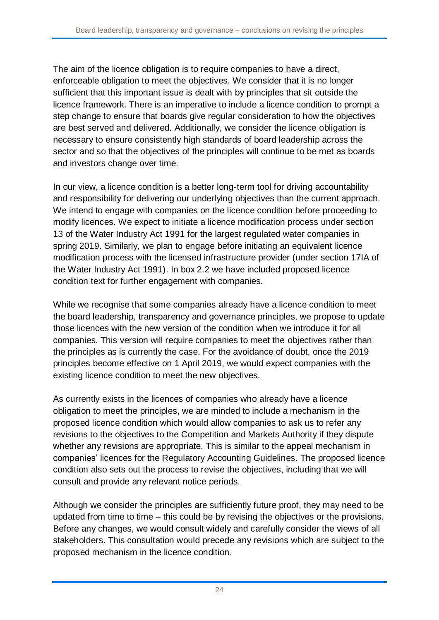The aim of the licence obligation is to require companies to have a direct, enforceable obligation to meet the objectives. We consider that it is no longer sufficient that this important issue is dealt with by principles that sit outside the licence framework. There is an imperative to include a licence condition to prompt a step change to ensure that boards give regular consideration to how the objectives are best served and delivered. Additionally, we consider the licence obligation is necessary to ensure consistently high standards of board leadership across the sector and so that the objectives of the principles will continue to be met as boards and investors change over time.

In our view, a licence condition is a better long-term tool for driving accountability and responsibility for delivering our underlying objectives than the current approach. We intend to engage with companies on the licence condition before proceeding to modify licences. We expect to initiate a licence modification process under section 13 of the Water Industry Act 1991 for the largest regulated water companies in spring 2019. Similarly, we plan to engage before initiating an equivalent licence modification process with the licensed infrastructure provider (under section 17IA of the Water Industry Act 1991). In box 2.2 we have included proposed licence condition text for further engagement with companies.

While we recognise that some companies already have a licence condition to meet the board leadership, transparency and governance principles, we propose to update those licences with the new version of the condition when we introduce it for all companies. This version will require companies to meet the objectives rather than the principles as is currently the case. For the avoidance of doubt, once the 2019 principles become effective on 1 April 2019, we would expect companies with the existing licence condition to meet the new objectives.

As currently exists in the licences of companies who already have a licence obligation to meet the principles, we are minded to include a mechanism in the proposed licence condition which would allow companies to ask us to refer any revisions to the objectives to the Competition and Markets Authority if they dispute whether any revisions are appropriate. This is similar to the appeal mechanism in companies' licences for the Regulatory Accounting Guidelines. The proposed licence condition also sets out the process to revise the objectives, including that we will consult and provide any relevant notice periods.

Although we consider the principles are sufficiently future proof, they may need to be updated from time to time – this could be by revising the objectives or the provisions. Before any changes, we would consult widely and carefully consider the views of all stakeholders. This consultation would precede any revisions which are subject to the proposed mechanism in the licence condition.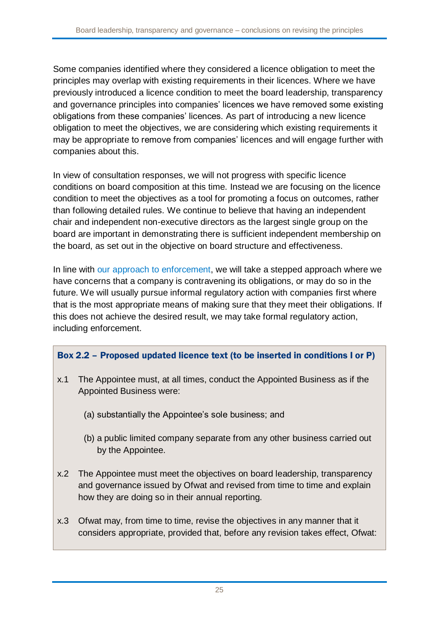Some companies identified where they considered a licence obligation to meet the principles may overlap with existing requirements in their licences. Where we have previously introduced a licence condition to meet the board leadership, transparency and governance principles into companies' licences we have removed some existing obligations from these companies' licences. As part of introducing a new licence obligation to meet the objectives, we are considering which existing requirements it may be appropriate to remove from companies' licences and will engage further with companies about this.

In view of consultation responses, we will not progress with specific licence conditions on board composition at this time. Instead we are focusing on the licence condition to meet the objectives as a tool for promoting a focus on outcomes, rather than following detailed rules. We continue to believe that having an independent chair and independent non-executive directors as the largest single group on the board are important in demonstrating there is sufficient independent membership on the board, as set out in the objective on board structure and effectiveness.

In line with [our approach to enforcement,](https://www.ofwat.gov.uk/publication/ofwats-approach-to-enforcement/) we will take a stepped approach where we have concerns that a company is contravening its obligations, or may do so in the future. We will usually pursue informal regulatory action with companies first where that is the most appropriate means of making sure that they meet their obligations. If this does not achieve the desired result, we may take formal regulatory action, including enforcement.

#### Box 2.2 – Proposed updated licence text (to be inserted in conditions I or P)

- x.1 The Appointee must, at all times, conduct the Appointed Business as if the Appointed Business were:
	- (a) substantially the Appointee's sole business; and
	- (b) a public limited company separate from any other business carried out by the Appointee.
- x.2 The Appointee must meet the objectives on board leadership, transparency and governance issued by Ofwat and revised from time to time and explain how they are doing so in their annual reporting.
- x.3 Ofwat may, from time to time, revise the objectives in any manner that it considers appropriate, provided that, before any revision takes effect, Ofwat: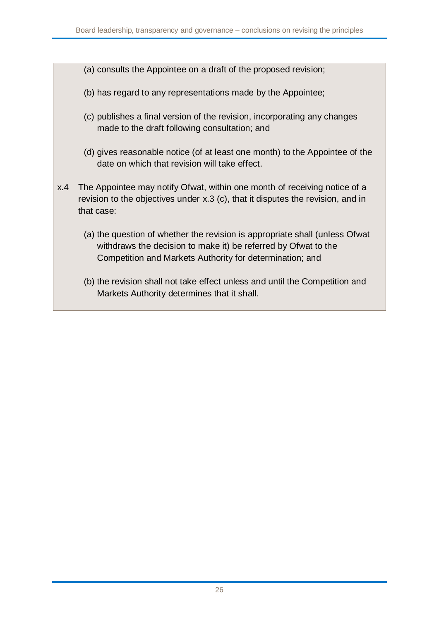- (a) consults the Appointee on a draft of the proposed revision;
- (b) has regard to any representations made by the Appointee;
- (c) publishes a final version of the revision, incorporating any changes made to the draft following consultation; and
- (d) gives reasonable notice (of at least one month) to the Appointee of the date on which that revision will take effect.
- x.4 The Appointee may notify Ofwat, within one month of receiving notice of a revision to the objectives under x.3 (c), that it disputes the revision, and in that case:
	- (a) the question of whether the revision is appropriate shall (unless Ofwat withdraws the decision to make it) be referred by Ofwat to the Competition and Markets Authority for determination; and
	- (b) the revision shall not take effect unless and until the Competition and Markets Authority determines that it shall.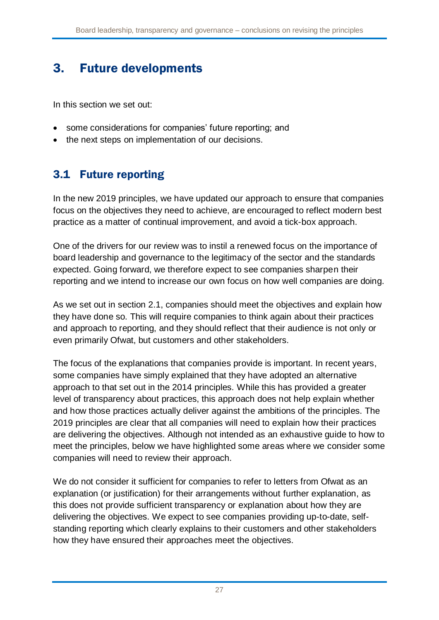# 3. Future developments

In this section we set out:

- some considerations for companies' future reporting; and
- the next steps on implementation of our decisions.

## <span id="page-27-0"></span>3.1 Future reporting

In the new 2019 principles, we have updated our approach to ensure that companies focus on the objectives they need to achieve, are encouraged to reflect modern best practice as a matter of continual improvement, and avoid a tick-box approach.

One of the drivers for our review was to instil a renewed focus on the importance of board leadership and governance to the legitimacy of the sector and the standards expected. Going forward, we therefore expect to see companies sharpen their reporting and we intend to increase our own focus on how well companies are doing.

As we set out in section [2.1,](#page-4-0) companies should meet the objectives and explain how they have done so. This will require companies to think again about their practices and approach to reporting, and they should reflect that their audience is not only or even primarily Ofwat, but customers and other stakeholders.

The focus of the explanations that companies provide is important. In recent years, some companies have simply explained that they have adopted an alternative approach to that set out in the 2014 principles. While this has provided a greater level of transparency about practices, this approach does not help explain whether and how those practices actually deliver against the ambitions of the principles. The 2019 principles are clear that all companies will need to explain how their practices are delivering the objectives. Although not intended as an exhaustive guide to how to meet the principles, below we have highlighted some areas where we consider some companies will need to review their approach.

We do not consider it sufficient for companies to refer to letters from Ofwat as an explanation (or justification) for their arrangements without further explanation, as this does not provide sufficient transparency or explanation about how they are delivering the objectives. We expect to see companies providing up-to-date, selfstanding reporting which clearly explains to their customers and other stakeholders how they have ensured their approaches meet the objectives.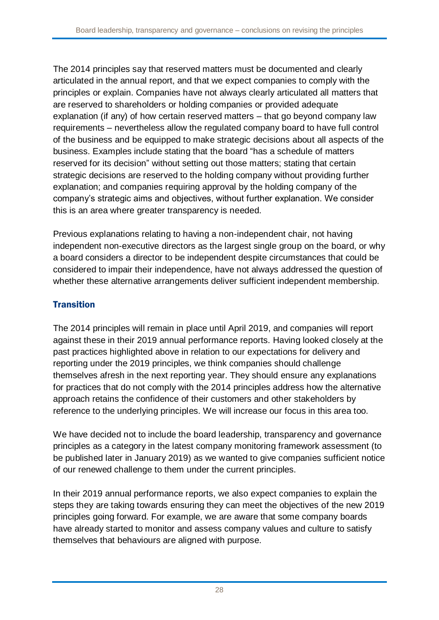The 2014 principles say that reserved matters must be documented and clearly articulated in the annual report, and that we expect companies to comply with the principles or explain. Companies have not always clearly articulated all matters that are reserved to shareholders or holding companies or provided adequate explanation (if any) of how certain reserved matters – that go beyond company law requirements – nevertheless allow the regulated company board to have full control of the business and be equipped to make strategic decisions about all aspects of the business. Examples include stating that the board "has a schedule of matters reserved for its decision" without setting out those matters; stating that certain strategic decisions are reserved to the holding company without providing further explanation; and companies requiring approval by the holding company of the company's strategic aims and objectives, without further explanation. We consider this is an area where greater transparency is needed.

Previous explanations relating to having a non-independent chair, not having independent non-executive directors as the largest single group on the board, or why a board considers a director to be independent despite circumstances that could be considered to impair their independence, have not always addressed the question of whether these alternative arrangements deliver sufficient independent membership.

### **Transition**

The 2014 principles will remain in place until April 2019, and companies will report against these in their 2019 annual performance reports. Having looked closely at the past practices highlighted above in relation to our expectations for delivery and reporting under the 2019 principles, we think companies should challenge themselves afresh in the next reporting year. They should ensure any explanations for practices that do not comply with the 2014 principles address how the alternative approach retains the confidence of their customers and other stakeholders by reference to the underlying principles. We will increase our focus in this area too.

We have decided not to include the board leadership, transparency and governance principles as a category in the latest company monitoring framework assessment (to be published later in January 2019) as we wanted to give companies sufficient notice of our renewed challenge to them under the current principles.

In their 2019 annual performance reports, we also expect companies to explain the steps they are taking towards ensuring they can meet the objectives of the new 2019 principles going forward. For example, we are aware that some company boards have already started to monitor and assess company values and culture to satisfy themselves that behaviours are aligned with purpose.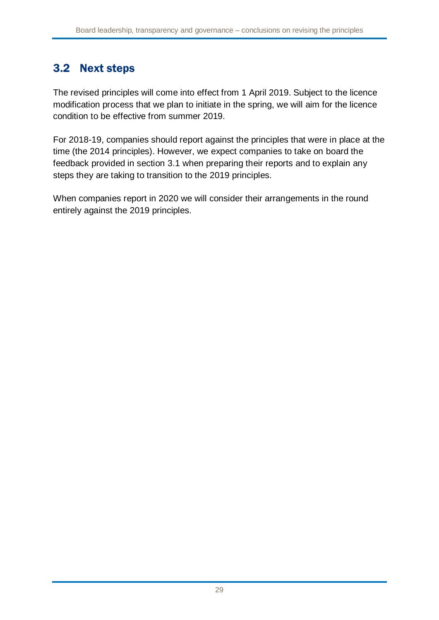## 3.2 Next steps

The revised principles will come into effect from 1 April 2019. Subject to the licence modification process that we plan to initiate in the spring, we will aim for the licence condition to be effective from summer 2019.

For 2018-19, companies should report against the principles that were in place at the time (the 2014 principles). However, we expect companies to take on board the feedback provided in section [3.1](#page-27-0) when preparing their reports and to explain any steps they are taking to transition to the 2019 principles.

When companies report in 2020 we will consider their arrangements in the round entirely against the 2019 principles.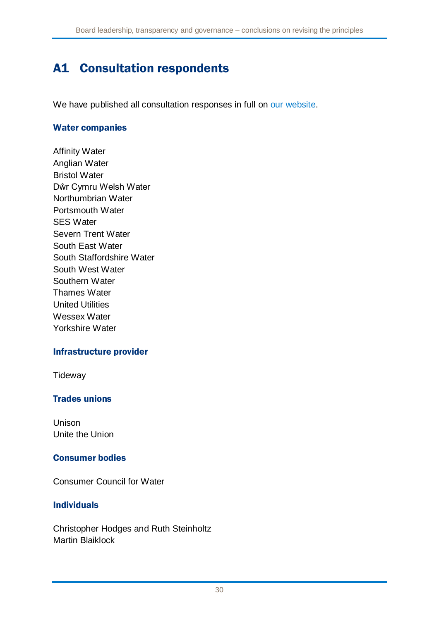## A1 Consultation respondents

We have published all consultation responses in full on [our website.](https://www.ofwat.gov.uk/consultation/consultation-revised-board-leadership-transparency-governance-principles/)

#### Water companies

Affinity Water Anglian Water Bristol Water Dŵr Cymru Welsh Water Northumbrian Water Portsmouth Water SES Water Severn Trent Water South East Water South Staffordshire Water South West Water Southern Water Thames Water United Utilities Wessex Water Yorkshire Water

#### Infrastructure provider

**Tideway** 

#### Trades unions

Unison Unite the Union

#### Consumer bodies

Consumer Council for Water

#### Individuals

Christopher Hodges and Ruth Steinholtz Martin Blaiklock